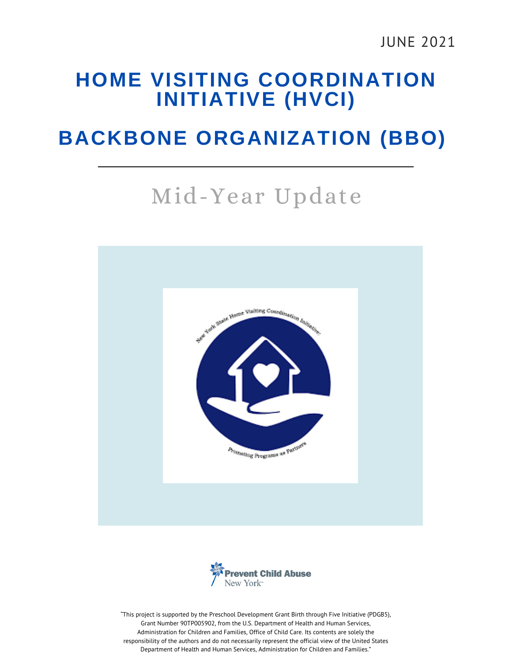#### **HOME VISITING COORDINATION INITIATIVE (HVCI)**

## **BACKBONE ORGANIZATION (BBO)**

# Mid-Year Update





"This project is supported by the Preschool Development Grant Birth through Five Initiative (PDGB5), Grant Number 90TP005902, from the U.S. Department of Health and Human Services, Administration for Children and Families, Office of Child Care. Its contents are solely the responsibility of the authors and do not necessarily represent the official view of the United States Department of Health and Human Services, Administration for Children and Families."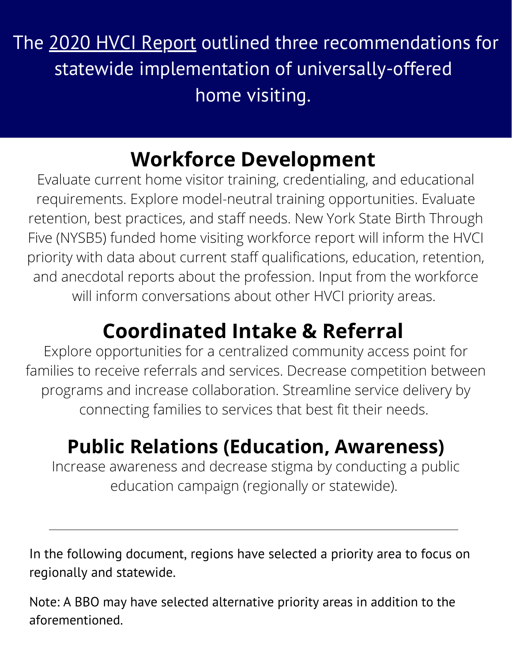The 2020 HVCI [Report](https://www.nyshomevisitcoord.com/hvci-report) outlined three recommendations for statewide implementation of universally-offered home visiting.

# **Workforce Development**

Evaluate current home visitor training, credentialing, and educational requirements. Explore model-neutral training opportunities. Evaluate retention, best practices, and staff needs. New York State Birth Through Five (NYSB5) funded home visiting workforce report will inform the HVCI priority with data about current staff qualifications, education, retention, and anecdotal reports about the profession. Input from the workforce will inform conversations about other HVCI priority areas.

# **Coordinated Intake & Referral**

Explore opportunities for a centralized community access point for families to receive referrals and services. Decrease competition between programs and increase collaboration. Streamline service delivery by connecting families to services that best fit their needs.

# **Public Relations (Education, Awareness)**

Increase awareness and decrease stigma by conducting a public education campaign (regionally or statewide).

In the following document, regions have selected a priority area to focus on regionally and statewide.

Note: A BBO may have selected alternative priority areas in addition to the aforementioned.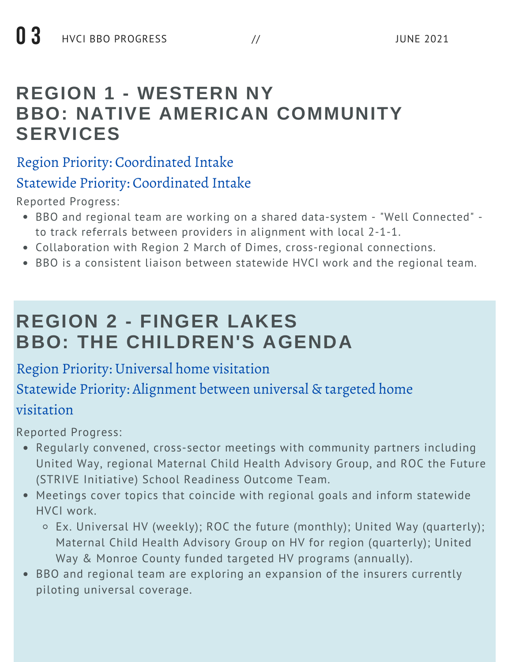### **REGION 1 - WESTERN NY BBO: NATIVE AMERICAN COMMUNITY SERVICES**

#### Region Priority: Coordinated Intake

#### Statewide Priority: Coordinated Intake

Reported Progress:

- BBO and regional team are working on a shared data-system "Well Connected" to track referrals between providers in alignment with local 2-1-1.
- Collaboration with Region 2 March of Dimes, cross-regional connections.
- BBO is a consistent liaison between statewide HVCI work and the regional team.

# **REGION 2 - FINGER LAKES BBO: THE CHILDREN'S AGENDA**

#### Region Priority: Universal home visitation

#### Statewide Priority: Alignment between universal & targeted home

#### visitation

- Regularly convened, cross-sector meetings with community partners including United Way, regional Maternal Child Health Advisory Group, and ROC the Future (STRIVE Initiative) School Readiness Outcome Team.
- Meetings cover topics that coincide with regional goals and inform statewide HVCI work.
	- Ex. Universal HV (weekly); ROC the future (monthly); United Way (quarterly); Maternal Child Health Advisory Group on HV for region (quarterly); United Way & Monroe County funded targeted HV programs (annually).
- BBO and regional team are exploring an expansion of the insurers currently piloting universal coverage.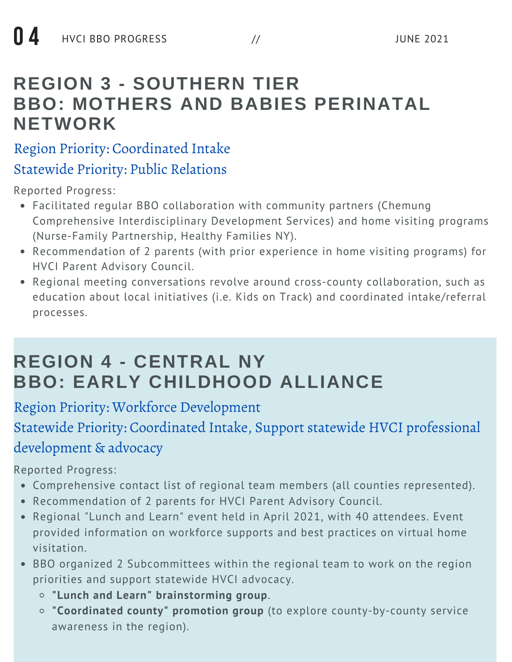### **REGION 3 - SOUTHERN TIER BBO: MOTHERS AND BABIES PERINATAL NETWORK**

#### Region Priority: Coordinated Intake Statewide Priority: Public Relations

Reported Progress:

- Facilitated regular BBO collaboration with community partners (Chemung Comprehensive Interdisciplinary Development Services) and home visiting programs (Nurse-Family Partnership, Healthy Families NY).
- Recommendation of 2 parents (with prior experience in home visiting programs) for HVCI Parent Advisory Council.
- Regional meeting conversations revolve around cross-county collaboration, such as education about local initiatives (i.e. Kids on Track) and coordinated intake/referral processes.

## **REGION 4 - CENTRAL NY BBO: EARLY CHILDHOOD ALLIANCE**

Region Priority: Workforce Development

Statewide Priority: Coordinated Intake, Support statewide HVCI professional development & advocacy

- Comprehensive contact list of regional team members (all counties represented).
- Recommendation of 2 parents for HVCI Parent Advisory Council.
- Regional "Lunch and Learn" event held in April 2021, with 40 attendees. Event provided information on workforce supports and best practices on virtual home visitation.
- BBO organized 2 Subcommittees within the regional team to work on the region priorities and support statewide HVCI advocacy.
	- **"Lunch and Learn" brainstorming group**.
	- **"Coordinated county" promotion group** (to explore county-by-county service awareness in the region).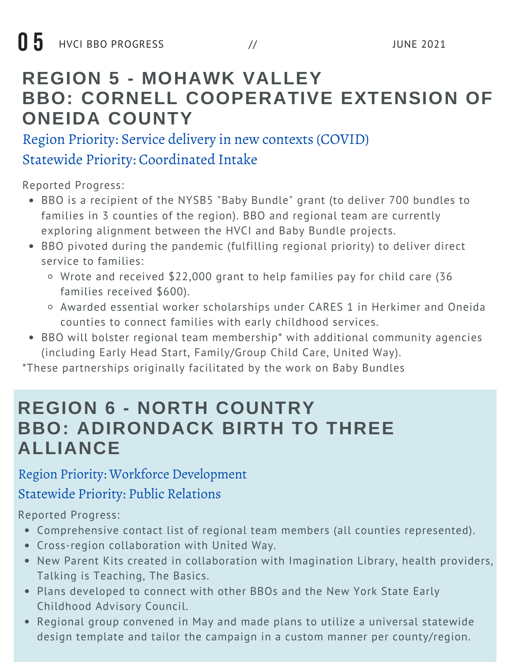### **REGION 5 - MOHAWK VALLEY BBO: CORNELL COOPERATIVE EXTENSION OF ONEIDA COUNTY**

Region Priority: Service delivery in new contexts (COVID)

#### Statewide Priority: Coordinated Intake

Reported Progress:

- BBO is a recipient of the NYSB5 "Baby Bundle" grant (to deliver 700 bundles to families in 3 counties of the region). BBO and regional team are currently exploring alignment between the HVCI and Baby Bundle projects.
- BBO pivoted during the pandemic (fulfilling regional priority) to deliver direct service to families:
	- Wrote and received \$22,000 grant to help families pay for child care (36 families received \$600).
	- Awarded essential worker scholarships under CARES 1 in Herkimer and Oneida counties to connect families with early childhood services.
- BBO will bolster regional team membership\* with additional community agencies (including Early Head Start, Family/Group Child Care, United Way).

\*These partnerships originally facilitated by the work on Baby Bundles

#### **REGION 6 - NORTH COUNTRY BBO: ADIRONDACK BIRTH TO THREE ALLIANCE**

Region Priority: Workforce Development

#### Statewide Priority: Public Relations

- Comprehensive contact list of regional team members (all counties represented).
- Cross-region collaboration with United Way.
- New Parent Kits created in collaboration with Imagination Library, health providers, Talking is Teaching, The Basics.
- Plans developed to connect with other BBOs and the New York State Early Childhood Advisory Council.
- Regional group convened in May and made plans to utilize a universal statewide design template and tailor the campaign in a custom manner per county/region.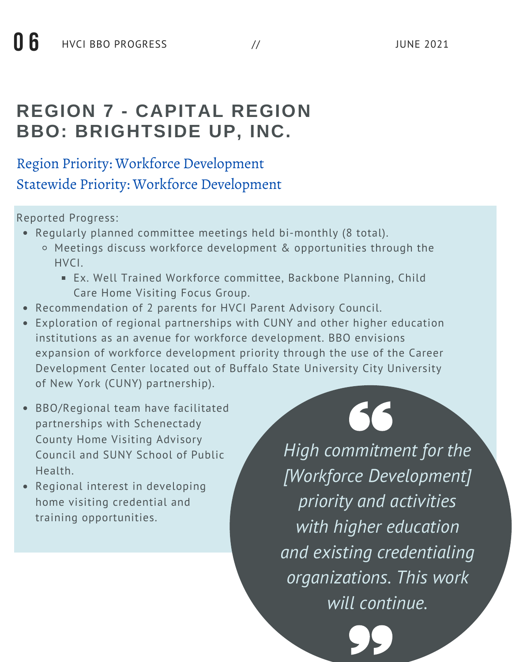## **REGION 7 - CAPITAL REGION BBO: BRIGHTSIDE UP, INC.**

#### Region Priority: Workforce Development Statewide Priority: Workforce Development

#### Reported Progress:

- Regularly planned committee meetings held bi-monthly (8 total).
	- Meetings discuss workforce development & opportunities through the HVCI.
		- Ex. Well Trained Workforce committee, Backbone Planning, Child Care Home Visiting Focus Group.
- Recommendation of 2 parents for HVCI Parent Advisory Council.
- Exploration of regional partnerships with CUNY and other higher education institutions as an avenue for workforce development. BBO envisions expansion of workforce development priority through the use of the Career Development Center located out of Buffalo State University City University of New York (CUNY) partnership).
- BBO/Regional team have facilitated partnerships with Schenectady County Home Visiting Advisory Council and SUNY School of Public Health.
- Regional interest in developing home visiting credential and training opportunities.

# 66

*High commitment for the [Workforce Development] priority and activities with higher education and existing credentialing organizations. This work will continue.*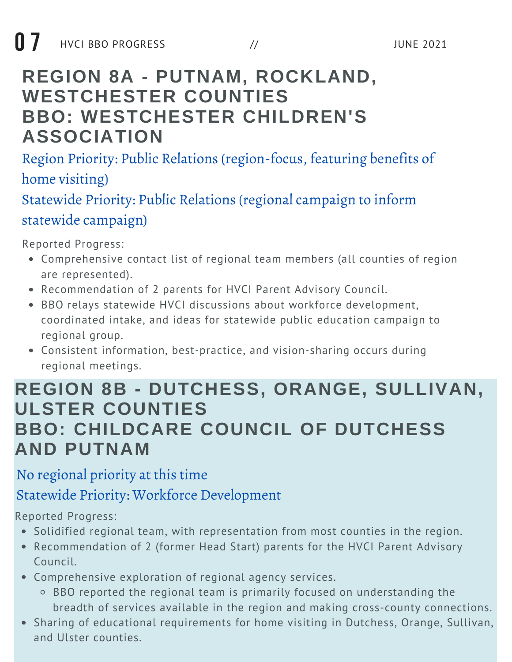## **REGION 8A - PUTNAM, ROCKLAND, WESTCHESTER COUNTIES BBO: WESTCHESTER CHILDREN'S ASSOCIATION**

Region Priority: Public Relations (region-focus, featuring benefits of home visiting)

Statewide Priority: Public Relations (regional campaign to inform statewide campaign)

Reported Progress:

- Comprehensive contact list of regional team members (all counties of region are represented).
- Recommendation of 2 parents for HVCI Parent Advisory Council.
- BBO relays statewide HVCI discussions about workforce development, coordinated intake, and ideas for statewide public education campaign to regional group.
- Consistent information, best-practice, and vision-sharing occurs during regional meetings.

#### **REGION 8B - DUTCHESS, ORANGE, SULLIVAN, ULSTER COUNTIES BBO: CHILDCARE COUNCIL OF DUTCHESS AND PUTNAM**

#### No regional priority at this time

Statewide Priority: Workforce Development

- Solidified regional team, with representation from most counties in the region.
- Recommendation of 2 (former Head Start) parents for the HVCI Parent Advisory Council.
- Comprehensive exploration of regional agency services.
	- BBO reported the regional team is primarily focused on understanding the breadth of services available in the region and making cross-county connections.
- Sharing of educational requirements for home visiting in Dutchess, Orange, Sullivan, and Ulster counties.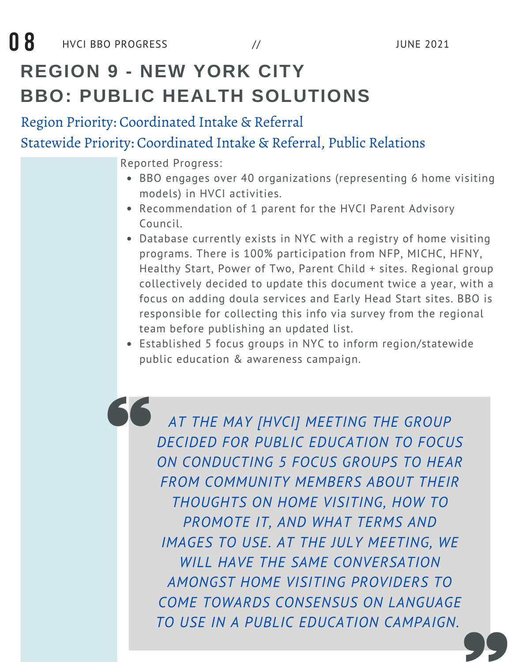# **REGION 9 - NEW YORK CITY BBO: PUBLIC HEALTH SOLUTIONS**

Region Priority: Coordinated Intake & Referral Statewide Priority: Coordinated Intake & Referral, Public Relations

Reported Progress:

- BBO engages over 40 organizations (representing 6 home visiting models) in HVCI activities.
- Recommendation of 1 parent for the HVCI Parent Advisory Council.
- Database currently exists in NYC with a registry of home visiting programs. There is 100% participation from NFP, MICHC, HFNY, Healthy Start, Power of Two, Parent Child + sites. Regional group collectively decided to update this document twice a year, with a focus on adding doula services and Early Head Start sites. BBO is responsible for collecting this info via survey from the regional team before publishing an updated list.
- Established 5 focus groups in NYC to inform region/statewide public education & awareness campaign.

*AT THE MAY [HVCI] MEETING THE GROUP DECIDED FOR PUBLIC EDUCATION TO FOCUS ON CONDUCTING 5 FOCUS GROUPS TO HEAR FROM COMMUNITY MEMBERS ABOUT THEIR THOUGHTS ON HOME VISITING, HOW TO PROMOTE IT, AND WHAT TERMS AND IMAGES TO USE. AT THE JULY MEETING, WE WILL HAVE THE SAME CONVERSATION AMONGST HOME VISITING PROVIDERS TO COME TOWARDS CONSENSUS ON LANGUAGE TO USE IN A PUBLIC EDUCATION CAMPAIGN.*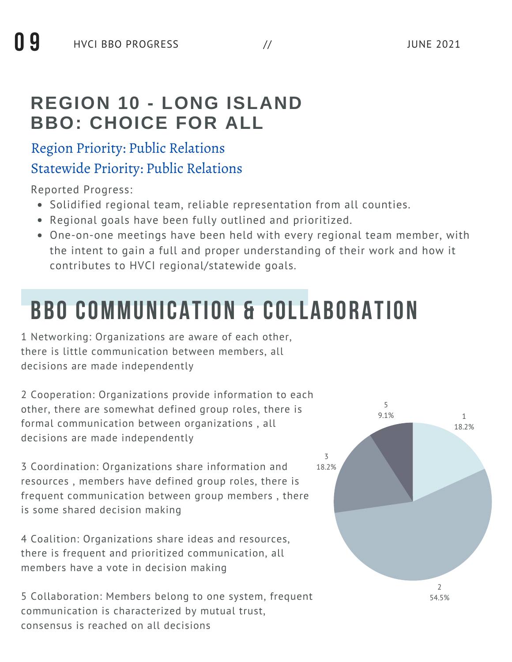#### **REGION 10 - LONG ISLAND BBO: CHOICE FOR ALL**

#### Region Priority: Public Relations

#### Statewide Priority: Public Relations

Reported Progress:

- Solidified regional team, reliable representation from all counties.
- Regional goals have been fully outlined and prioritized.
- One-on-one meetings have been held with every regional team member, with the intent to gain a full and proper understanding of their work and how it contributes to HVCI regional/statewide goals.

# **BBO COMMUNICATION & COLLABORATION**

1 Networking: Organizations are aware of each other, there is little communication between members, all decisions are made independently

2 Cooperation: Organizations provide information to each other, there are somewhat defined group roles, there is formal communication between organizations , all decisions are made independently

3 Coordination: Organizations share information and resources , members have defined group roles, there is frequent communication between group members , there is some shared decision making

4 Coalition: Organizations share ideas and resources, there is frequent and prioritized communication, all members have a vote in decision making

5 Collaboration: Members belong to one system, frequent communication is characterized by mutual trust, consensus is reached on all decisions

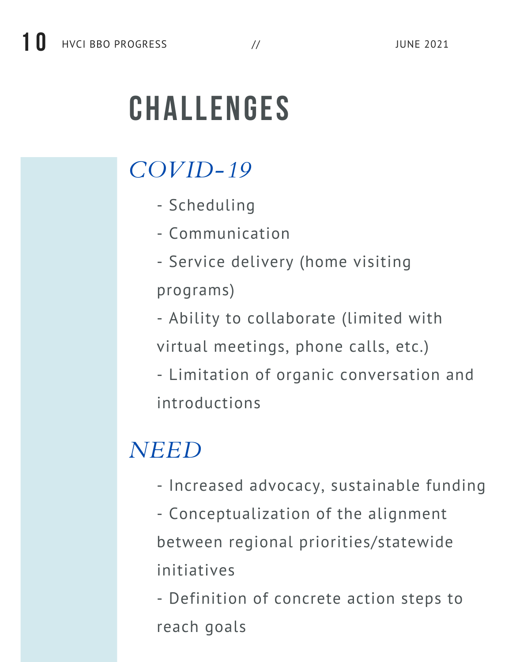# **CHALLENGES**

# *COVID-19*

- Scheduling
- Communication
- Service delivery (home visiting programs)
- Ability to collaborate (limited with
- virtual meetings, phone calls, etc.)
- Limitation of organic conversation and introductions

# *NEED*

- Increased advocacy, sustainable funding
- Conceptualization of the alignment between regional priorities/statewide initiatives
- Definition of concrete action steps to reach goals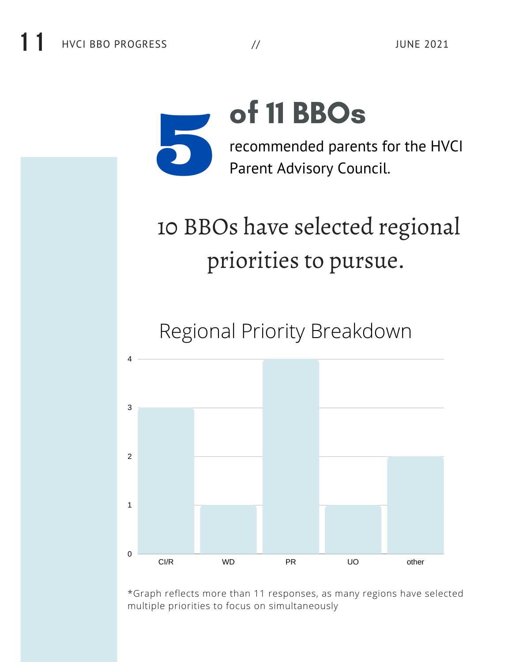

# 10 BBOs have selected regional priorities to pursue.

Regional Priority Breakdown



\*Graph reflects more than 11 responses, as many regions have selected multiple priorities to focus on simultaneously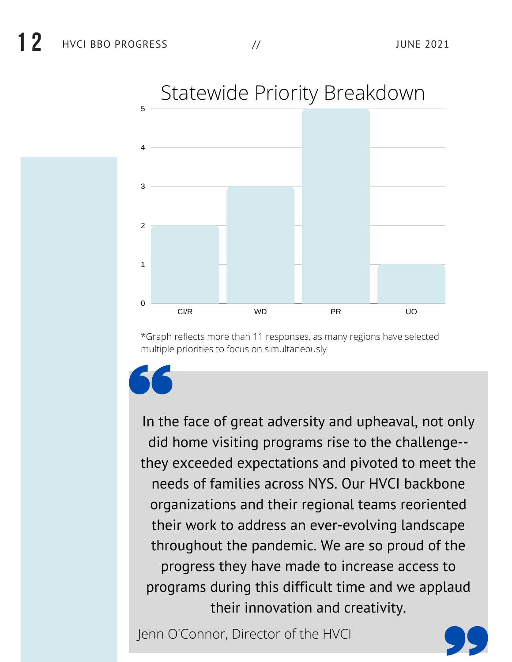

## Statewide Priority Breakdown

\*Graph reflects more than 11 responses, as many regions have selected multiple priorities to focus on simultaneously

In the face of great adversity and upheaval, not only did home visiting programs rise to the challenge- they exceeded expectations and pivoted to meet the needs of families across NYS. Our HVCI backbone organizations and their regional teams reoriented their work to address an ever-evolving landscape throughout the pandemic. We are so proud of the progress they have made to increase access to programs during this difficult time and we applaud their innovation and creativity.

Jenn O'Connor, Director of the HVCI